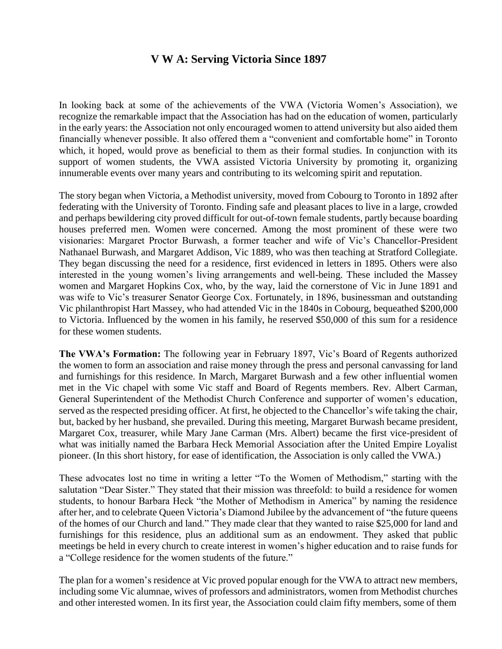## **V W A: Serving Victoria Since 1897**

In looking back at some of the achievements of the VWA (Victoria Women's Association), we recognize the remarkable impact that the Association has had on the education of women, particularly in the early years: the Association not only encouraged women to attend university but also aided them financially whenever possible. It also offered them a "convenient and comfortable home" in Toronto which, it hoped, would prove as beneficial to them as their formal studies. In conjunction with its support of women students, the VWA assisted Victoria University by promoting it, organizing innumerable events over many years and contributing to its welcoming spirit and reputation.

The story began when Victoria, a Methodist university, moved from Cobourg to Toronto in 1892 after federating with the University of Toronto. Finding safe and pleasant places to live in a large, crowded and perhaps bewildering city proved difficult for out-of-town female students, partly because boarding houses preferred men. Women were concerned. Among the most prominent of these were two visionaries: Margaret Proctor Burwash, a former teacher and wife of Vic's Chancellor-President Nathanael Burwash, and Margaret Addison, Vic 1889, who was then teaching at Stratford Collegiate. They began discussing the need for a residence, first evidenced in letters in 1895. Others were also interested in the young women's living arrangements and well-being. These included the Massey women and Margaret Hopkins Cox, who, by the way, laid the cornerstone of Vic in June 1891 and was wife to Vic's treasurer Senator George Cox. Fortunately, in 1896, businessman and outstanding Vic philanthropist Hart Massey, who had attended Vic in the 1840s in Cobourg, bequeathed \$200,000 to Victoria. Influenced by the women in his family, he reserved \$50,000 of this sum for a residence for these women students.

**The VWA's Formation:** The following year in February 1897, Vic's Board of Regents authorized the women to form an association and raise money through the press and personal canvassing for land and furnishings for this residence. In March, Margaret Burwash and a few other influential women met in the Vic chapel with some Vic staff and Board of Regents members. Rev. Albert Carman, General Superintendent of the Methodist Church Conference and supporter of women's education, served as the respected presiding officer. At first, he objected to the Chancellor's wife taking the chair, but, backed by her husband, she prevailed. During this meeting, Margaret Burwash became president, Margaret Cox, treasurer, while Mary Jane Carman (Mrs. Albert) became the first vice-president of what was initially named the Barbara Heck Memorial Association after the United Empire Loyalist pioneer. (In this short history, for ease of identification, the Association is only called the VWA.)

These advocates lost no time in writing a letter "To the Women of Methodism," starting with the salutation "Dear Sister." They stated that their mission was threefold: to build a residence for women students, to honour Barbara Heck "the Mother of Methodism in America" by naming the residence after her, and to celebrate Queen Victoria's Diamond Jubilee by the advancement of "the future queens of the homes of our Church and land." They made clear that they wanted to raise \$25,000 for land and furnishings for this residence, plus an additional sum as an endowment. They asked that public meetings be held in every church to create interest in women's higher education and to raise funds for a "College residence for the women students of the future."

The plan for a women's residence at Vic proved popular enough for the VWA to attract new members, including some Vic alumnae, wives of professors and administrators, women from Methodist churches and other interested women. In its first year, the Association could claim fifty members, some of them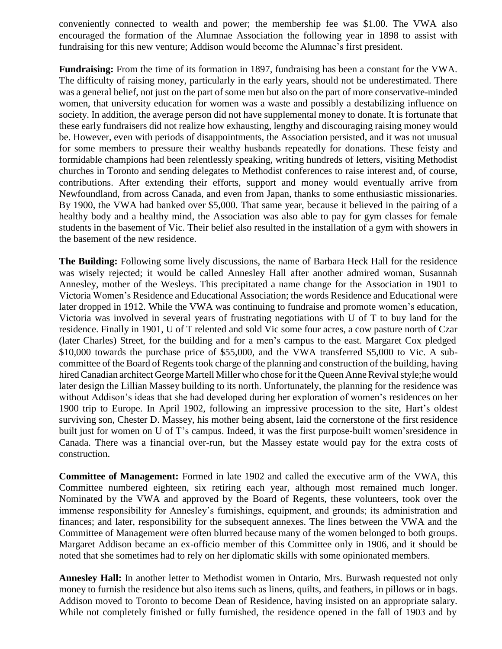conveniently connected to wealth and power; the membership fee was \$1.00. The VWA also encouraged the formation of the Alumnae Association the following year in 1898 to assist with fundraising for this new venture; Addison would become the Alumnae's first president.

**Fundraising:** From the time of its formation in 1897, fundraising has been a constant for the VWA. The difficulty of raising money, particularly in the early years, should not be underestimated. There was a general belief, not just on the part of some men but also on the part of more conservative-minded women, that university education for women was a waste and possibly a destabilizing influence on society. In addition, the average person did not have supplemental money to donate. It is fortunate that these early fundraisers did not realize how exhausting, lengthy and discouraging raising money would be. However, even with periods of disappointments, the Association persisted, and it was not unusual for some members to pressure their wealthy husbands repeatedly for donations. These feisty and formidable champions had been relentlessly speaking, writing hundreds of letters, visiting Methodist churches in Toronto and sending delegates to Methodist conferences to raise interest and, of course, contributions. After extending their efforts, support and money would eventually arrive from Newfoundland, from across Canada, and even from Japan, thanks to some enthusiastic missionaries. By 1900, the VWA had banked over \$5,000. That same year, because it believed in the pairing of a healthy body and a healthy mind, the Association was also able to pay for gym classes for female students in the basement of Vic. Their belief also resulted in the installation of a gym with showers in the basement of the new residence.

**The Building:** Following some lively discussions, the name of Barbara Heck Hall for the residence was wisely rejected; it would be called Annesley Hall after another admired woman, Susannah Annesley, mother of the Wesleys. This precipitated a name change for the Association in 1901 to Victoria Women's Residence and Educational Association; the words Residence and Educational were later dropped in 1912. While the VWA was continuing to fundraise and promote women's education, Victoria was involved in several years of frustrating negotiations with U of T to buy land for the residence. Finally in 1901, U of T relented and sold Vic some four acres, a cow pasture north of Czar (later Charles) Street, for the building and for a men's campus to the east. Margaret Cox pledged \$10,000 towards the purchase price of \$55,000, and the VWA transferred \$5,000 to Vic. A subcommittee of the Board of Regents took charge of the planning and construction of the building, having hired Canadian architect George Martell Miller who chose for it the Queen Anne Revival style;he would later design the Lillian Massey building to its north. Unfortunately, the planning for the residence was without Addison's ideas that she had developed during her exploration of women's residences on her 1900 trip to Europe. In April 1902, following an impressive procession to the site, Hart's oldest surviving son, Chester D. Massey, his mother being absent, laid the cornerstone of the first residence built just for women on U of T's campus. Indeed, it was the first purpose-built women'sresidence in Canada. There was a financial over-run, but the Massey estate would pay for the extra costs of construction.

**Committee of Management:** Formed in late 1902 and called the executive arm of the VWA, this Committee numbered eighteen, six retiring each year, although most remained much longer. Nominated by the VWA and approved by the Board of Regents, these volunteers, took over the immense responsibility for Annesley's furnishings, equipment, and grounds; its administration and finances; and later, responsibility for the subsequent annexes. The lines between the VWA and the Committee of Management were often blurred because many of the women belonged to both groups. Margaret Addison became an ex-officio member of this Committee only in 1906, and it should be noted that she sometimes had to rely on her diplomatic skills with some opinionated members.

**Annesley Hall:** In another letter to Methodist women in Ontario, Mrs. Burwash requested not only money to furnish the residence but also items such as linens, quilts, and feathers, in pillows or in bags. Addison moved to Toronto to become Dean of Residence, having insisted on an appropriate salary. While not completely finished or fully furnished, the residence opened in the fall of 1903 and by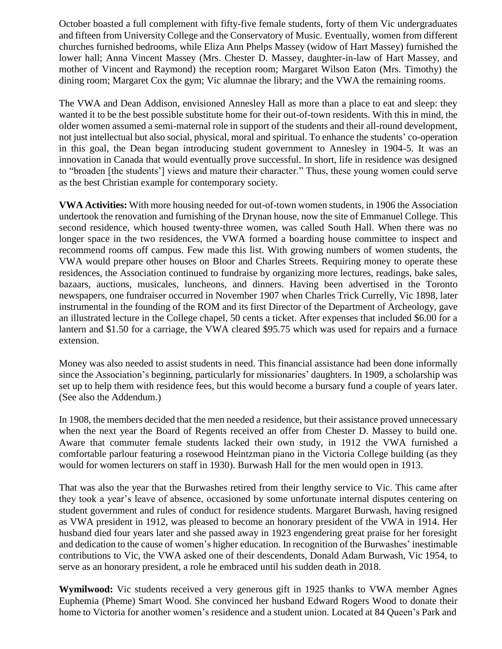October boasted a full complement with fifty-five female students, forty of them Vic undergraduates and fifteen from University College and the Conservatory of Music. Eventually, women from different churches furnished bedrooms, while Eliza Ann Phelps Massey (widow of Hart Massey) furnished the lower hall; Anna Vincent Massey (Mrs. Chester D. Massey, daughter-in-law of Hart Massey, and mother of Vincent and Raymond) the reception room; Margaret Wilson Eaton (Mrs. Timothy) the dining room; Margaret Cox the gym; Vic alumnae the library; and the VWA the remaining rooms.

The VWA and Dean Addison, envisioned Annesley Hall as more than a place to eat and sleep: they wanted it to be the best possible substitute home for their out-of-town residents. With this in mind, the older women assumed a semi-maternal role in support of the students and their all-round development, not just intellectual but also social, physical, moral and spiritual. To enhance the students' co-operation in this goal, the Dean began introducing student government to Annesley in 1904-5. It was an innovation in Canada that would eventually prove successful. In short, life in residence was designed to "broaden [the students'] views and mature their character." Thus, these young women could serve as the best Christian example for contemporary society.

**VWA Activities:** With more housing needed for out-of-town women students, in 1906 the Association undertook the renovation and furnishing of the Drynan house, now the site of Emmanuel College. This second residence, which housed twenty-three women, was called South Hall. When there was no longer space in the two residences, the VWA formed a boarding house committee to inspect and recommend rooms off campus. Few made this list. With growing numbers of women students, the VWA would prepare other houses on Bloor and Charles Streets. Requiring money to operate these residences, the Association continued to fundraise by organizing more lectures, readings, bake sales, bazaars, auctions, musicales, luncheons, and dinners. Having been advertised in the Toronto newspapers, one fundraiser occurred in November 1907 when Charles Trick Currelly, Vic 1898, later instrumental in the founding of the ROM and its first Director of the Department of Archeology, gave an illustrated lecture in the College chapel, 50 cents a ticket. After expenses that included \$6.00 for a lantern and \$1.50 for a carriage, the VWA cleared \$95.75 which was used for repairs and a furnace extension.

Money was also needed to assist students in need. This financial assistance had been done informally since the Association's beginning, particularly for missionaries' daughters. In 1909, a scholarship was set up to help them with residence fees, but this would become a bursary fund a couple of years later. (See also the Addendum.)

In 1908, the members decided that the men needed a residence, but their assistance proved unnecessary when the next year the Board of Regents received an offer from Chester D. Massey to build one. Aware that commuter female students lacked their own study, in 1912 the VWA furnished a comfortable parlour featuring a rosewood Heintzman piano in the Victoria College building (as they would for women lecturers on staff in 1930). Burwash Hall for the men would open in 1913.

That was also the year that the Burwashes retired from their lengthy service to Vic. This came after they took a year's leave of absence, occasioned by some unfortunate internal disputes centering on student government and rules of conduct for residence students. Margaret Burwash, having resigned as VWA president in 1912, was pleased to become an honorary president of the VWA in 1914. Her husband died four years later and she passed away in 1923 engendering great praise for her foresight and dedication to the cause of women's higher education. In recognition of the Burwashes' inestimable contributions to Vic, the VWA asked one of their descendents, Donald Adam Burwash, Vic 1954, to serve as an honorary president, a role he embraced until his sudden death in 2018.

**Wymilwood:** Vic students received a very generous gift in 1925 thanks to VWA member Agnes Euphemia (Pheme) Smart Wood. She convinced her husband Edward Rogers Wood to donate their home to Victoria for another women's residence and a student union. Located at 84 Queen's Park and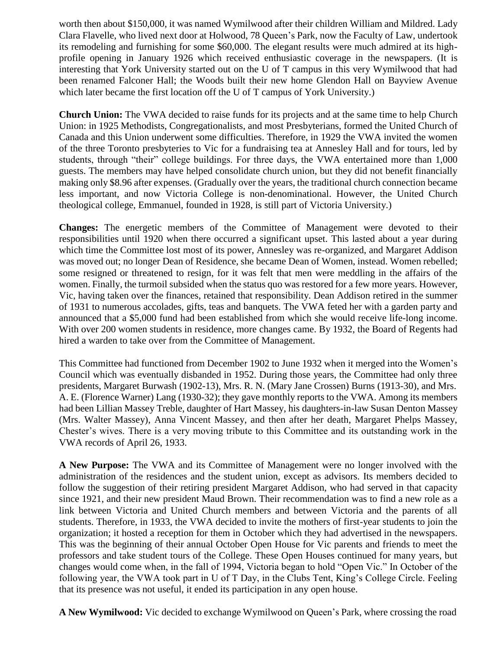worth then about \$150,000, it was named Wymilwood after their children William and Mildred. Lady Clara Flavelle, who lived next door at Holwood, 78 Queen's Park, now the Faculty of Law, undertook its remodeling and furnishing for some \$60,000. The elegant results were much admired at its highprofile opening in January 1926 which received enthusiastic coverage in the newspapers. (It is interesting that York University started out on the U of T campus in this very Wymilwood that had been renamed Falconer Hall; the Woods built their new home Glendon Hall on Bayview Avenue which later became the first location off the U of T campus of York University.)

**Church Union:** The VWA decided to raise funds for its projects and at the same time to help Church Union: in 1925 Methodists, Congregationalists, and most Presbyterians, formed the United Church of Canada and this Union underwent some difficulties. Therefore, in 1929 the VWA invited the women of the three Toronto presbyteries to Vic for a fundraising tea at Annesley Hall and for tours, led by students, through "their" college buildings. For three days, the VWA entertained more than 1,000 guests. The members may have helped consolidate church union, but they did not benefit financially making only \$8.96 after expenses. (Gradually over the years, the traditional church connection became less important, and now Victoria College is non-denominational. However, the United Church theological college, Emmanuel, founded in 1928, is still part of Victoria University.)

**Changes:** The energetic members of the Committee of Management were devoted to their responsibilities until 1920 when there occurred a significant upset. This lasted about a year during which time the Committee lost most of its power, Annesley was re-organized, and Margaret Addison was moved out; no longer Dean of Residence, she became Dean of Women, instead. Women rebelled; some resigned or threatened to resign, for it was felt that men were meddling in the affairs of the women. Finally, the turmoil subsided when the status quo was restored for a few more years. However, Vic, having taken over the finances, retained that responsibility. Dean Addison retired in the summer of 1931 to numerous accolades, gifts, teas and banquets. The VWA feted her with a garden party and announced that a \$5,000 fund had been established from which she would receive life-long income. With over 200 women students in residence, more changes came. By 1932, the Board of Regents had hired a warden to take over from the Committee of Management.

This Committee had functioned from December 1902 to June 1932 when it merged into the Women's Council which was eventually disbanded in 1952. During those years, the Committee had only three presidents, Margaret Burwash (1902-13), Mrs. R. N. (Mary Jane Crossen) Burns (1913-30), and Mrs. A. E. (Florence Warner) Lang (1930-32); they gave monthly reports to the VWA. Among its members had been Lillian Massey Treble, daughter of Hart Massey, his daughters-in-law Susan Denton Massey (Mrs. Walter Massey), Anna Vincent Massey, and then after her death, Margaret Phelps Massey, Chester's wives. There is a very moving tribute to this Committee and its outstanding work in the VWA records of April 26, 1933.

**A New Purpose:** The VWA and its Committee of Management were no longer involved with the administration of the residences and the student union, except as advisors. Its members decided to follow the suggestion of their retiring president Margaret Addison, who had served in that capacity since 1921, and their new president Maud Brown. Their recommendation was to find a new role as a link between Victoria and United Church members and between Victoria and the parents of all students. Therefore, in 1933, the VWA decided to invite the mothers of first-year students to join the organization; it hosted a reception for them in October which they had advertised in the newspapers. This was the beginning of their annual October Open House for Vic parents and friends to meet the professors and take student tours of the College. These Open Houses continued for many years, but changes would come when, in the fall of 1994, Victoria began to hold "Open Vic." In October of the following year, the VWA took part in U of T Day, in the Clubs Tent, King's College Circle. Feeling that its presence was not useful, it ended its participation in any open house.

**A New Wymilwood:** Vic decided to exchange Wymilwood on Queen's Park, where crossing the road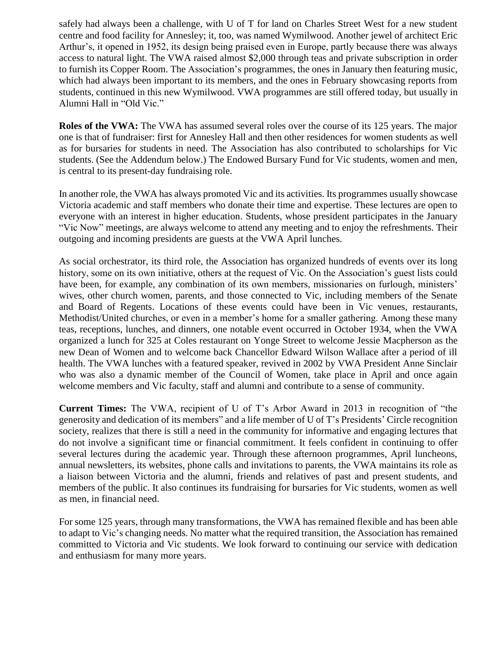safely had always been a challenge, with U of T for land on Charles Street West for a new student centre and food facility for Annesley; it, too, was named Wymilwood. Another jewel of architect Eric Arthur's, it opened in 1952, its design being praised even in Europe, partly because there was always access to natural light. The VWA raised almost \$2,000 through teas and private subscription in order to furnish its Copper Room. The Association's programmes, the ones in January then featuring music, which had always been important to its members, and the ones in February showcasing reports from students, continued in this new Wymilwood. VWA programmes are still offered today, but usually in Alumni Hall in "Old Vic."

**Roles of the VWA:** The VWA has assumed several roles over the course of its 125 years. The major one is that of fundraiser: first for Annesley Hall and then other residences for women students as well as for bursaries for students in need. The Association has also contributed to scholarships for Vic students. (See the Addendum below.) The Endowed Bursary Fund for Vic students, women and men, is central to its present-day fundraising role.

In another role, the VWA has always promoted Vic and its activities. Its programmes usually showcase Victoria academic and staff members who donate their time and expertise. These lectures are open to everyone with an interest in higher education. Students, whose president participates in the January "Vic Now" meetings, are always welcome to attend any meeting and to enjoy the refreshments. Their outgoing and incoming presidents are guests at the VWA April lunches.

As social orchestrator, its third role, the Association has organized hundreds of events over its long history, some on its own initiative, others at the request of Vic. On the Association's guest lists could have been, for example, any combination of its own members, missionaries on furlough, ministers' wives, other church women, parents, and those connected to Vic, including members of the Senate and Board of Regents. Locations of these events could have been in Vic venues, restaurants, Methodist/United churches, or even in a member's home for a smaller gathering. Among these many teas, receptions, lunches, and dinners, one notable event occurred in October 1934, when the VWA organized a lunch for 325 at Coles restaurant on Yonge Street to welcome Jessie Macpherson as the new Dean of Women and to welcome back Chancellor Edward Wilson Wallace after a period of ill health. The VWA lunches with a featured speaker, revived in 2002 by VWA President Anne Sinclair who was also a dynamic member of the Council of Women, take place in April and once again welcome members and Vic faculty, staff and alumni and contribute to a sense of community.

**Current Times:** The VWA, recipient of U of T's Arbor Award in 2013 in recognition of "the generosity and dedication of its members" and a life member of U of T's Presidents' Circle recognition society, realizes that there is still a need in the community for informative and engaging lectures that do not involve a significant time or financial commitment. It feels confident in continuing to offer several lectures during the academic year. Through these afternoon programmes, April luncheons, annual newsletters, its websites, phone calls and invitations to parents, the VWA maintains its role as a liaison between Victoria and the alumni, friends and relatives of past and present students, and members of the public. It also continues its fundraising for bursaries for Vic students, women as well as men, in financial need.

For some 125 years, through many transformations, the VWA has remained flexible and has been able to adapt to Vic's changing needs. No matter what the required transition, the Association has remained committed to Victoria and Vic students. We look forward to continuing our service with dedication and enthusiasm for many more years.